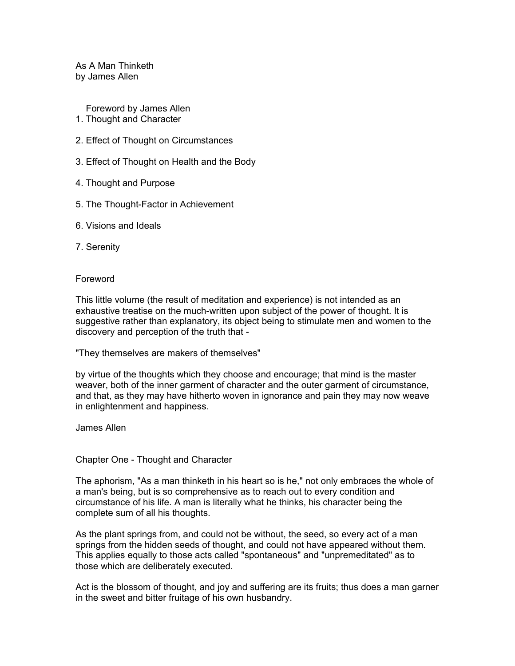As A Man Thinketh by James Allen

Foreword by James Allen 1. Thought and Character

- 2. Effect of Thought on Circumstances
- 3. Effect of Thought on Health and the Body
- 4. Thought and Purpose
- 5. The Thought-Factor in Achievement
- 6. Visions and Ideals
- 7. Serenity

## Foreword

This little volume (the result of meditation and experience) is not intended as an exhaustive treatise on the much-written upon subject of the power of thought. It is suggestive rather than explanatory, its object being to stimulate men and women to the discovery and perception of the truth that -

"They themselves are makers of themselves"

by virtue of the thoughts which they choose and encourage; that mind is the master weaver, both of the inner garment of character and the outer garment of circumstance, and that, as they may have hitherto woven in ignorance and pain they may now weave in enlightenment and happiness.

James Allen

## Chapter One - Thought and Character

The aphorism, "As a man thinketh in his heart so is he," not only embraces the whole of a man's being, but is so comprehensive as to reach out to every condition and circumstance of his life. A man is literally what he thinks, his character being the complete sum of all his thoughts.

As the plant springs from, and could not be without, the seed, so every act of a man springs from the hidden seeds of thought, and could not have appeared without them. This applies equally to those acts called "spontaneous" and "unpremeditated" as to those which are deliberately executed.

Act is the blossom of thought, and joy and suffering are its fruits; thus does a man garner in the sweet and bitter fruitage of his own husbandry.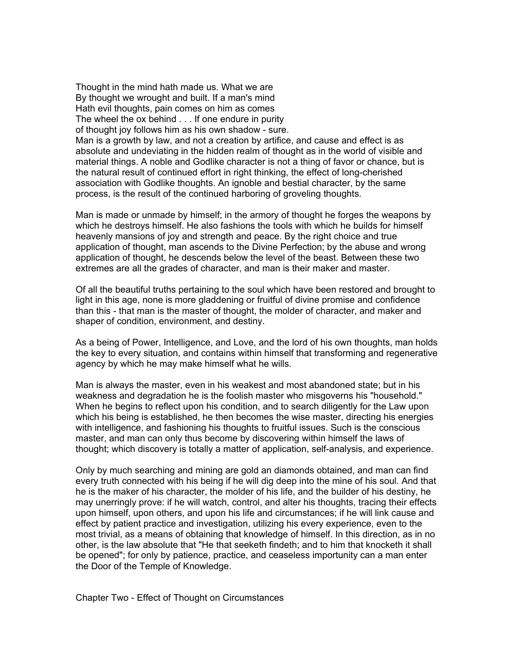Thought in the mind hath made us. What we are By thought we wrought and built. If a man's mind Hath evil thoughts, pain comes on him as comes The wheel the ox behind . . . If one endure in purity of thought joy follows him as his own shadow - sure. Man is a growth by law, and not a creation by artifice, and cause and effect is as absolute and undeviating in the hidden realm of thought as in the world of visible and material things. A noble and Godlike character is not a thing of favor or chance, but is the natural result of continued effort in right thinking, the effect of long-cherished association with Godlike thoughts. An ignoble and bestial character, by the same process, is the result of the continued harboring of groveling thoughts.

Man is made or unmade by himself; in the armory of thought he forges the weapons by which he destroys himself. He also fashions the tools with which he builds for himself heavenly mansions of joy and strength and peace. By the right choice and true application of thought, man ascends to the Divine Perfection; by the abuse and wrong application of thought, he descends below the level of the beast. Between these two extremes are all the grades of character, and man is their maker and master.

Of all the beautiful truths pertaining to the soul which have been restored and brought to light in this age, none is more gladdening or fruitful of divine promise and confidence than this - that man is the master of thought, the molder of character, and maker and shaper of condition, environment, and destiny.

As a being of Power, Intelligence, and Love, and the lord of his own thoughts, man holds the key to every situation, and contains within himself that transforming and regenerative agency by which he may make himself what he wills.

Man is always the master, even in his weakest and most abandoned state; but in his weakness and degradation he is the foolish master who misgoverns his "household." When he begins to reflect upon his condition, and to search diligently for the Law upon which his being is established, he then becomes the wise master, directing his energies with intelligence, and fashioning his thoughts to fruitful issues. Such is the conscious master, and man can only thus become by discovering within himself the laws of thought; which discovery is totally a matter of application, self-analysis, and experience.

Only by much searching and mining are gold an diamonds obtained, and man can find every truth connected with his being if he will dig deep into the mine of his soul. And that he is the maker of his character, the molder of his life, and the builder of his destiny, he may unerringly prove: if he will watch, control, and alter his thoughts, tracing their effects upon himself, upon others, and upon his life and circumstances; if he will link cause and effect by patient practice and investigation, utilizing his every experience, even to the most trivial, as a means of obtaining that knowledge of himself. In this direction, as in no other, is the law absolute that "He that seeketh findeth; and to him that knocketh it shall be opened"; for only by patience, practice, and ceaseless importunity can a man enter the Door of the Temple of Knowledge.

Chapter Two - Effect of Thought on Circumstances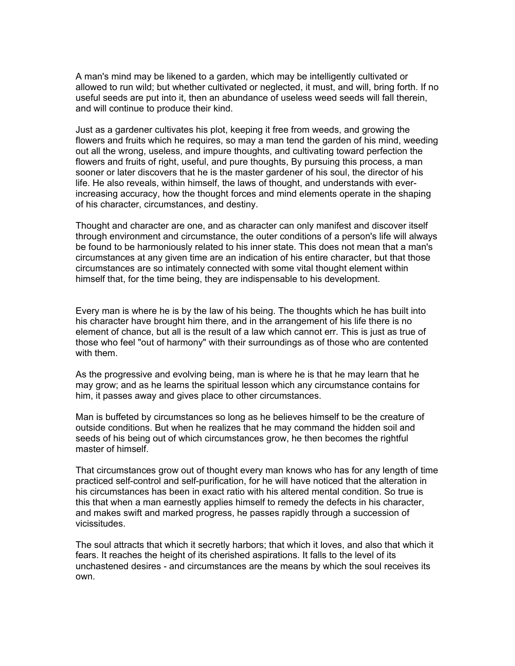A man's mind may be likened to a garden, which may be intelligently cultivated or allowed to run wild; but whether cultivated or neglected, it must, and will, bring forth. If no useful seeds are put into it, then an abundance of useless weed seeds will fall therein, and will continue to produce their kind.

Just as a gardener cultivates his plot, keeping it free from weeds, and growing the flowers and fruits which he requires, so may a man tend the garden of his mind, weeding out all the wrong, useless, and impure thoughts, and cultivating toward perfection the flowers and fruits of right, useful, and pure thoughts, By pursuing this process, a man sooner or later discovers that he is the master gardener of his soul, the director of his life. He also reveals, within himself, the laws of thought, and understands with everincreasing accuracy, how the thought forces and mind elements operate in the shaping of his character, circumstances, and destiny.

Thought and character are one, and as character can only manifest and discover itself through environment and circumstance, the outer conditions of a person's life will always be found to be harmoniously related to his inner state. This does not mean that a man's circumstances at any given time are an indication of his entire character, but that those circumstances are so intimately connected with some vital thought element within himself that, for the time being, they are indispensable to his development.

Every man is where he is by the law of his being. The thoughts which he has built into his character have brought him there, and in the arrangement of his life there is no element of chance, but all is the result of a law which cannot err. This is just as true of those who feel "out of harmony" with their surroundings as of those who are contented with them.

As the progressive and evolving being, man is where he is that he may learn that he may grow; and as he learns the spiritual lesson which any circumstance contains for him, it passes away and gives place to other circumstances.

Man is buffeted by circumstances so long as he believes himself to be the creature of outside conditions. But when he realizes that he may command the hidden soil and seeds of his being out of which circumstances grow, he then becomes the rightful master of himself.

That circumstances grow out of thought every man knows who has for any length of time practiced self-control and self-purification, for he will have noticed that the alteration in his circumstances has been in exact ratio with his altered mental condition. So true is this that when a man earnestly applies himself to remedy the defects in his character, and makes swift and marked progress, he passes rapidly through a succession of vicissitudes.

The soul attracts that which it secretly harbors; that which it loves, and also that which it fears. It reaches the height of its cherished aspirations. It falls to the level of its unchastened desires - and circumstances are the means by which the soul receives its own.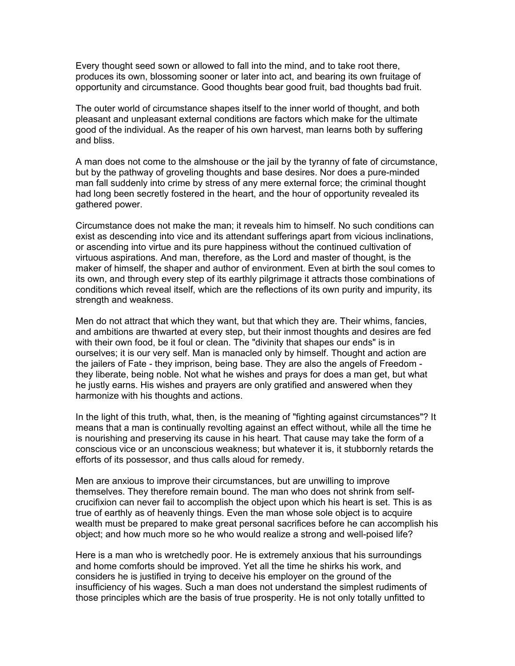Every thought seed sown or allowed to fall into the mind, and to take root there, produces its own, blossoming sooner or later into act, and bearing its own fruitage of opportunity and circumstance. Good thoughts bear good fruit, bad thoughts bad fruit.

The outer world of circumstance shapes itself to the inner world of thought, and both pleasant and unpleasant external conditions are factors which make for the ultimate good of the individual. As the reaper of his own harvest, man learns both by suffering and bliss.

A man does not come to the almshouse or the jail by the tyranny of fate of circumstance, but by the pathway of groveling thoughts and base desires. Nor does a pure-minded man fall suddenly into crime by stress of any mere external force; the criminal thought had long been secretly fostered in the heart, and the hour of opportunity revealed its gathered power.

Circumstance does not make the man; it reveals him to himself. No such conditions can exist as descending into vice and its attendant sufferings apart from vicious inclinations, or ascending into virtue and its pure happiness without the continued cultivation of virtuous aspirations. And man, therefore, as the Lord and master of thought, is the maker of himself, the shaper and author of environment. Even at birth the soul comes to its own, and through every step of its earthly pilgrimage it attracts those combinations of conditions which reveal itself, which are the reflections of its own purity and impurity, its strength and weakness.

Men do not attract that which they want, but that which they are. Their whims, fancies, and ambitions are thwarted at every step, but their inmost thoughts and desires are fed with their own food, be it foul or clean. The "divinity that shapes our ends" is in ourselves; it is our very self. Man is manacled only by himself. Thought and action are the jailers of Fate - they imprison, being base. They are also the angels of Freedom they liberate, being noble. Not what he wishes and prays for does a man get, but what he justly earns. His wishes and prayers are only gratified and answered when they harmonize with his thoughts and actions.

In the light of this truth, what, then, is the meaning of "fighting against circumstances"? It means that a man is continually revolting against an effect without, while all the time he is nourishing and preserving its cause in his heart. That cause may take the form of a conscious vice or an unconscious weakness; but whatever it is, it stubbornly retards the efforts of its possessor, and thus calls aloud for remedy.

Men are anxious to improve their circumstances, but are unwilling to improve themselves. They therefore remain bound. The man who does not shrink from selfcrucifixion can never fail to accomplish the object upon which his heart is set. This is as true of earthly as of heavenly things. Even the man whose sole object is to acquire wealth must be prepared to make great personal sacrifices before he can accomplish his object; and how much more so he who would realize a strong and well-poised life?

Here is a man who is wretchedly poor. He is extremely anxious that his surroundings and home comforts should be improved. Yet all the time he shirks his work, and considers he is justified in trying to deceive his employer on the ground of the insufficiency of his wages. Such a man does not understand the simplest rudiments of those principles which are the basis of true prosperity. He is not only totally unfitted to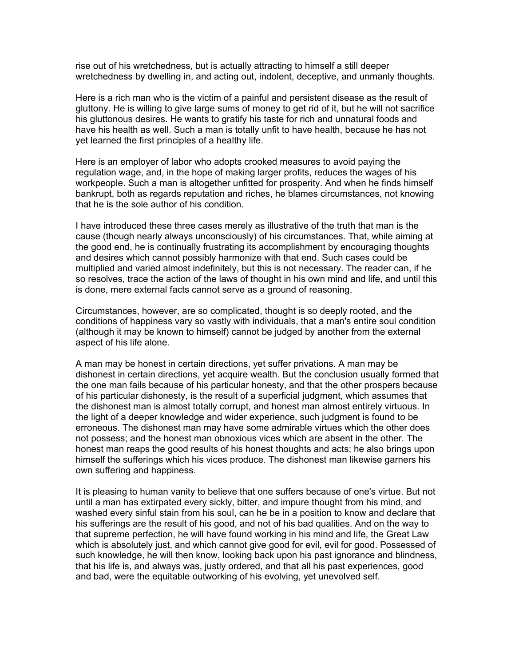rise out of his wretchedness, but is actually attracting to himself a still deeper wretchedness by dwelling in, and acting out, indolent, deceptive, and unmanly thoughts.

Here is a rich man who is the victim of a painful and persistent disease as the result of gluttony. He is willing to give large sums of money to get rid of it, but he will not sacrifice his gluttonous desires. He wants to gratify his taste for rich and unnatural foods and have his health as well. Such a man is totally unfit to have health, because he has not yet learned the first principles of a healthy life.

Here is an employer of labor who adopts crooked measures to avoid paying the regulation wage, and, in the hope of making larger profits, reduces the wages of his workpeople. Such a man is altogether unfitted for prosperity. And when he finds himself bankrupt, both as regards reputation and riches, he blames circumstances, not knowing that he is the sole author of his condition.

I have introduced these three cases merely as illustrative of the truth that man is the cause (though nearly always unconsciously) of his circumstances. That, while aiming at the good end, he is continually frustrating its accomplishment by encouraging thoughts and desires which cannot possibly harmonize with that end. Such cases could be multiplied and varied almost indefinitely, but this is not necessary. The reader can, if he so resolves, trace the action of the laws of thought in his own mind and life, and until this is done, mere external facts cannot serve as a ground of reasoning.

Circumstances, however, are so complicated, thought is so deeply rooted, and the conditions of happiness vary so vastly with individuals, that a man's entire soul condition (although it may be known to himself) cannot be judged by another from the external aspect of his life alone.

A man may be honest in certain directions, yet suffer privations. A man may be dishonest in certain directions, yet acquire wealth. But the conclusion usually formed that the one man fails because of his particular honesty, and that the other prospers because of his particular dishonesty, is the result of a superficial judgment, which assumes that the dishonest man is almost totally corrupt, and honest man almost entirely virtuous. In the light of a deeper knowledge and wider experience, such judgment is found to be erroneous. The dishonest man may have some admirable virtues which the other does not possess; and the honest man obnoxious vices which are absent in the other. The honest man reaps the good results of his honest thoughts and acts; he also brings upon himself the sufferings which his vices produce. The dishonest man likewise garners his own suffering and happiness.

It is pleasing to human vanity to believe that one suffers because of one's virtue. But not until a man has extirpated every sickly, bitter, and impure thought from his mind, and washed every sinful stain from his soul, can he be in a position to know and declare that his sufferings are the result of his good, and not of his bad qualities. And on the way to that supreme perfection, he will have found working in his mind and life, the Great Law which is absolutely just, and which cannot give good for evil, evil for good. Possessed of such knowledge, he will then know, looking back upon his past ignorance and blindness, that his life is, and always was, justly ordered, and that all his past experiences, good and bad, were the equitable outworking of his evolving, yet unevolved self.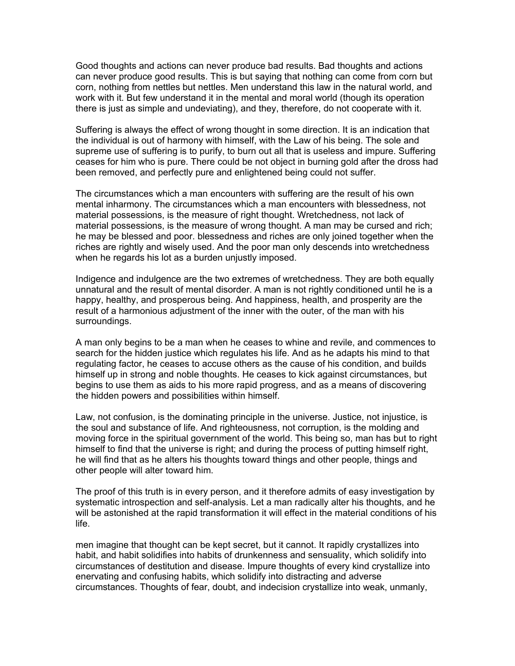Good thoughts and actions can never produce bad results. Bad thoughts and actions can never produce good results. This is but saying that nothing can come from corn but corn, nothing from nettles but nettles. Men understand this law in the natural world, and work with it. But few understand it in the mental and moral world (though its operation there is just as simple and undeviating), and they, therefore, do not cooperate with it.

Suffering is always the effect of wrong thought in some direction. It is an indication that the individual is out of harmony with himself, with the Law of his being. The sole and supreme use of suffering is to purify, to burn out all that is useless and impure. Suffering ceases for him who is pure. There could be not object in burning gold after the dross had been removed, and perfectly pure and enlightened being could not suffer.

The circumstances which a man encounters with suffering are the result of his own mental inharmony. The circumstances which a man encounters with blessedness, not material possessions, is the measure of right thought. Wretchedness, not lack of material possessions, is the measure of wrong thought. A man may be cursed and rich; he may be blessed and poor. blessedness and riches are only joined together when the riches are rightly and wisely used. And the poor man only descends into wretchedness when he regards his lot as a burden unjustly imposed.

Indigence and indulgence are the two extremes of wretchedness. They are both equally unnatural and the result of mental disorder. A man is not rightly conditioned until he is a happy, healthy, and prosperous being. And happiness, health, and prosperity are the result of a harmonious adjustment of the inner with the outer, of the man with his surroundings.

A man only begins to be a man when he ceases to whine and revile, and commences to search for the hidden justice which regulates his life. And as he adapts his mind to that regulating factor, he ceases to accuse others as the cause of his condition, and builds himself up in strong and noble thoughts. He ceases to kick against circumstances, but begins to use them as aids to his more rapid progress, and as a means of discovering the hidden powers and possibilities within himself.

Law, not confusion, is the dominating principle in the universe. Justice, not injustice, is the soul and substance of life. And righteousness, not corruption, is the molding and moving force in the spiritual government of the world. This being so, man has but to right himself to find that the universe is right; and during the process of putting himself right, he will find that as he alters his thoughts toward things and other people, things and other people will alter toward him.

The proof of this truth is in every person, and it therefore admits of easy investigation by systematic introspection and self-analysis. Let a man radically alter his thoughts, and he will be astonished at the rapid transformation it will effect in the material conditions of his life.

men imagine that thought can be kept secret, but it cannot. It rapidly crystallizes into habit, and habit solidifies into habits of drunkenness and sensuality, which solidify into circumstances of destitution and disease. Impure thoughts of every kind crystallize into enervating and confusing habits, which solidify into distracting and adverse circumstances. Thoughts of fear, doubt, and indecision crystallize into weak, unmanly,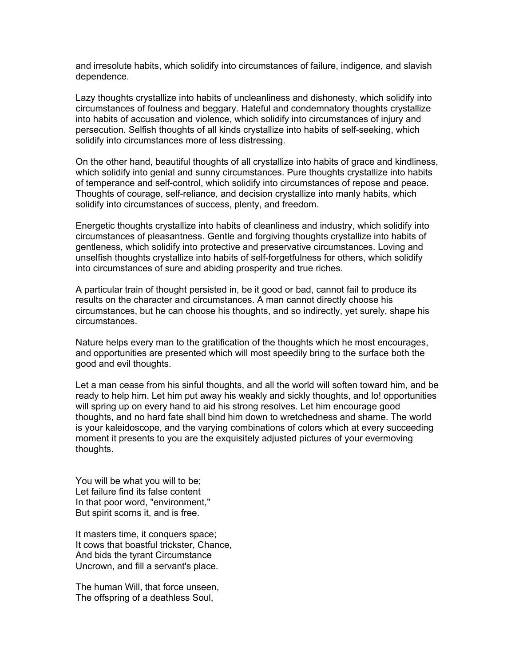and irresolute habits, which solidify into circumstances of failure, indigence, and slavish dependence.

Lazy thoughts crystallize into habits of uncleanliness and dishonesty, which solidify into circumstances of foulness and beggary. Hateful and condemnatory thoughts crystallize into habits of accusation and violence, which solidify into circumstances of injury and persecution. Selfish thoughts of all kinds crystallize into habits of self-seeking, which solidify into circumstances more of less distressing.

On the other hand, beautiful thoughts of all crystallize into habits of grace and kindliness, which solidify into genial and sunny circumstances. Pure thoughts crystallize into habits of temperance and self-control, which solidify into circumstances of repose and peace. Thoughts of courage, self-reliance, and decision crystallize into manly habits, which solidify into circumstances of success, plenty, and freedom.

Energetic thoughts crystallize into habits of cleanliness and industry, which solidify into circumstances of pleasantness. Gentle and forgiving thoughts crystallize into habits of gentleness, which solidify into protective and preservative circumstances. Loving and unselfish thoughts crystallize into habits of self-forgetfulness for others, which solidify into circumstances of sure and abiding prosperity and true riches.

A particular train of thought persisted in, be it good or bad, cannot fail to produce its results on the character and circumstances. A man cannot directly choose his circumstances, but he can choose his thoughts, and so indirectly, yet surely, shape his circumstances.

Nature helps every man to the gratification of the thoughts which he most encourages, and opportunities are presented which will most speedily bring to the surface both the good and evil thoughts.

Let a man cease from his sinful thoughts, and all the world will soften toward him, and be ready to help him. Let him put away his weakly and sickly thoughts, and lo! opportunities will spring up on every hand to aid his strong resolves. Let him encourage good thoughts, and no hard fate shall bind him down to wretchedness and shame. The world is your kaleidoscope, and the varying combinations of colors which at every succeeding moment it presents to you are the exquisitely adjusted pictures of your evermoving thoughts.

You will be what you will to be; Let failure find its false content In that poor word, "environment," But spirit scorns it, and is free.

It masters time, it conquers space; It cows that boastful trickster, Chance, And bids the tyrant Circumstance Uncrown, and fill a servant's place.

The human Will, that force unseen, The offspring of a deathless Soul,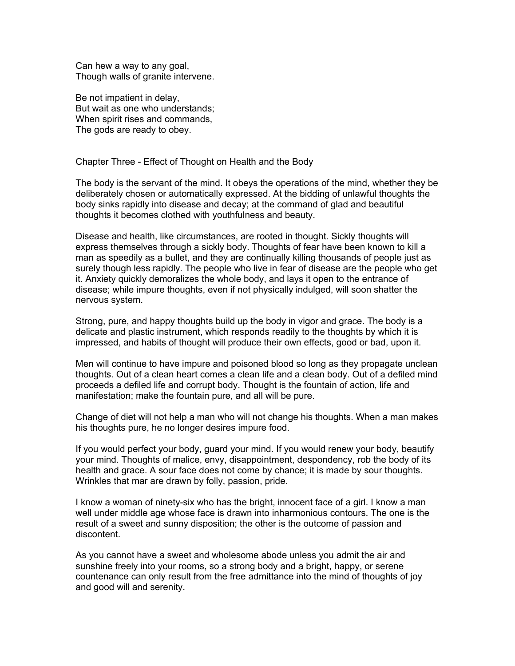Can hew a way to any goal, Though walls of granite intervene.

Be not impatient in delay, But wait as one who understands; When spirit rises and commands, The gods are ready to obey.

Chapter Three - Effect of Thought on Health and the Body

The body is the servant of the mind. It obeys the operations of the mind, whether they be deliberately chosen or automatically expressed. At the bidding of unlawful thoughts the body sinks rapidly into disease and decay; at the command of glad and beautiful thoughts it becomes clothed with youthfulness and beauty.

Disease and health, like circumstances, are rooted in thought. Sickly thoughts will express themselves through a sickly body. Thoughts of fear have been known to kill a man as speedily as a bullet, and they are continually killing thousands of people just as surely though less rapidly. The people who live in fear of disease are the people who get it. Anxiety quickly demoralizes the whole body, and lays it open to the entrance of disease; while impure thoughts, even if not physically indulged, will soon shatter the nervous system.

Strong, pure, and happy thoughts build up the body in vigor and grace. The body is a delicate and plastic instrument, which responds readily to the thoughts by which it is impressed, and habits of thought will produce their own effects, good or bad, upon it.

Men will continue to have impure and poisoned blood so long as they propagate unclean thoughts. Out of a clean heart comes a clean life and a clean body. Out of a defiled mind proceeds a defiled life and corrupt body. Thought is the fountain of action, life and manifestation; make the fountain pure, and all will be pure.

Change of diet will not help a man who will not change his thoughts. When a man makes his thoughts pure, he no longer desires impure food.

If you would perfect your body, guard your mind. If you would renew your body, beautify your mind. Thoughts of malice, envy, disappointment, despondency, rob the body of its health and grace. A sour face does not come by chance; it is made by sour thoughts. Wrinkles that mar are drawn by folly, passion, pride.

I know a woman of ninety-six who has the bright, innocent face of a girl. I know a man well under middle age whose face is drawn into inharmonious contours. The one is the result of a sweet and sunny disposition; the other is the outcome of passion and discontent.

As you cannot have a sweet and wholesome abode unless you admit the air and sunshine freely into your rooms, so a strong body and a bright, happy, or serene countenance can only result from the free admittance into the mind of thoughts of joy and good will and serenity.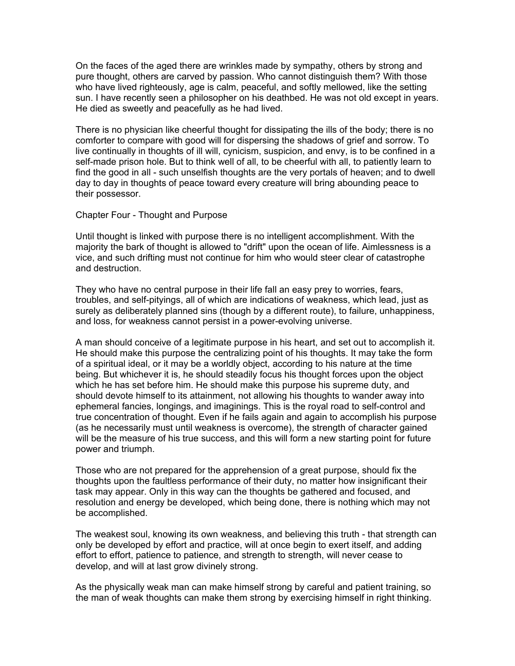On the faces of the aged there are wrinkles made by sympathy, others by strong and pure thought, others are carved by passion. Who cannot distinguish them? With those who have lived righteously, age is calm, peaceful, and softly mellowed, like the setting sun. I have recently seen a philosopher on his deathbed. He was not old except in years. He died as sweetly and peacefully as he had lived.

There is no physician like cheerful thought for dissipating the ills of the body; there is no comforter to compare with good will for dispersing the shadows of grief and sorrow. To live continually in thoughts of ill will, cynicism, suspicion, and envy, is to be confined in a self-made prison hole. But to think well of all, to be cheerful with all, to patiently learn to find the good in all - such unselfish thoughts are the very portals of heaven; and to dwell day to day in thoughts of peace toward every creature will bring abounding peace to their possessor.

## Chapter Four - Thought and Purpose

Until thought is linked with purpose there is no intelligent accomplishment. With the majority the bark of thought is allowed to "drift" upon the ocean of life. Aimlessness is a vice, and such drifting must not continue for him who would steer clear of catastrophe and destruction.

They who have no central purpose in their life fall an easy prey to worries, fears, troubles, and self-pityings, all of which are indications of weakness, which lead, just as surely as deliberately planned sins (though by a different route), to failure, unhappiness, and loss, for weakness cannot persist in a power-evolving universe.

A man should conceive of a legitimate purpose in his heart, and set out to accomplish it. He should make this purpose the centralizing point of his thoughts. It may take the form of a spiritual ideal, or it may be a worldly object, according to his nature at the time being. But whichever it is, he should steadily focus his thought forces upon the object which he has set before him. He should make this purpose his supreme duty, and should devote himself to its attainment, not allowing his thoughts to wander away into ephemeral fancies, longings, and imaginings. This is the royal road to self-control and true concentration of thought. Even if he fails again and again to accomplish his purpose (as he necessarily must until weakness is overcome), the strength of character gained will be the measure of his true success, and this will form a new starting point for future power and triumph.

Those who are not prepared for the apprehension of a great purpose, should fix the thoughts upon the faultless performance of their duty, no matter how insignificant their task may appear. Only in this way can the thoughts be gathered and focused, and resolution and energy be developed, which being done, there is nothing which may not be accomplished.

The weakest soul, knowing its own weakness, and believing this truth - that strength can only be developed by effort and practice, will at once begin to exert itself, and adding effort to effort, patience to patience, and strength to strength, will never cease to develop, and will at last grow divinely strong.

As the physically weak man can make himself strong by careful and patient training, so the man of weak thoughts can make them strong by exercising himself in right thinking.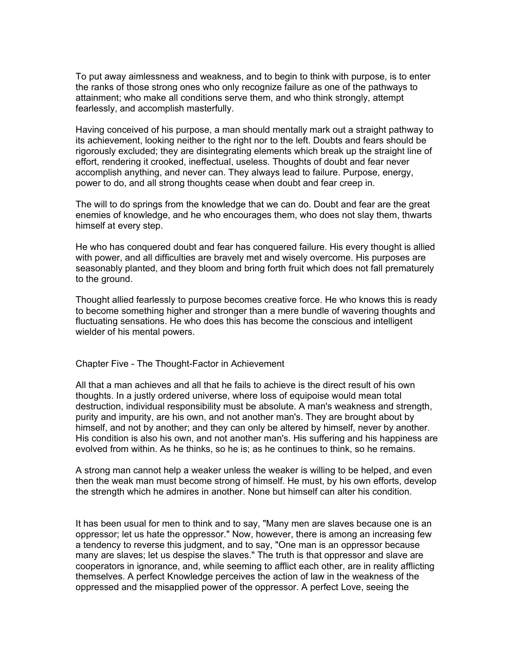To put away aimlessness and weakness, and to begin to think with purpose, is to enter the ranks of those strong ones who only recognize failure as one of the pathways to attainment; who make all conditions serve them, and who think strongly, attempt fearlessly, and accomplish masterfully.

Having conceived of his purpose, a man should mentally mark out a straight pathway to its achievement, looking neither to the right nor to the left. Doubts and fears should be rigorously excluded; they are disintegrating elements which break up the straight line of effort, rendering it crooked, ineffectual, useless. Thoughts of doubt and fear never accomplish anything, and never can. They always lead to failure. Purpose, energy, power to do, and all strong thoughts cease when doubt and fear creep in.

The will to do springs from the knowledge that we can do. Doubt and fear are the great enemies of knowledge, and he who encourages them, who does not slay them, thwarts himself at every step.

He who has conquered doubt and fear has conquered failure. His every thought is allied with power, and all difficulties are bravely met and wisely overcome. His purposes are seasonably planted, and they bloom and bring forth fruit which does not fall prematurely to the ground.

Thought allied fearlessly to purpose becomes creative force. He who knows this is ready to become something higher and stronger than a mere bundle of wavering thoughts and fluctuating sensations. He who does this has become the conscious and intelligent wielder of his mental powers.

Chapter Five - The Thought-Factor in Achievement

All that a man achieves and all that he fails to achieve is the direct result of his own thoughts. In a justly ordered universe, where loss of equipoise would mean total destruction, individual responsibility must be absolute. A man's weakness and strength, purity and impurity, are his own, and not another man's. They are brought about by himself, and not by another; and they can only be altered by himself, never by another. His condition is also his own, and not another man's. His suffering and his happiness are evolved from within. As he thinks, so he is; as he continues to think, so he remains.

A strong man cannot help a weaker unless the weaker is willing to be helped, and even then the weak man must become strong of himself. He must, by his own efforts, develop the strength which he admires in another. None but himself can alter his condition.

It has been usual for men to think and to say, "Many men are slaves because one is an oppressor; let us hate the oppressor." Now, however, there is among an increasing few a tendency to reverse this judgment, and to say, "One man is an oppressor because many are slaves; let us despise the slaves." The truth is that oppressor and slave are cooperators in ignorance, and, while seeming to afflict each other, are in reality afflicting themselves. A perfect Knowledge perceives the action of law in the weakness of the oppressed and the misapplied power of the oppressor. A perfect Love, seeing the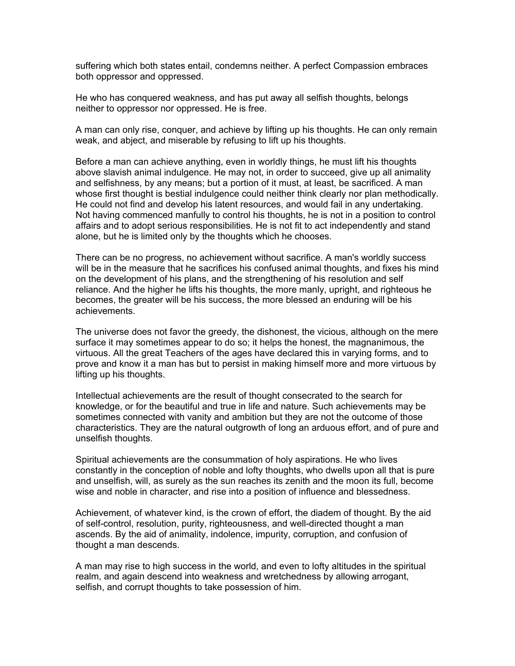suffering which both states entail, condemns neither. A perfect Compassion embraces both oppressor and oppressed.

He who has conquered weakness, and has put away all selfish thoughts, belongs neither to oppressor nor oppressed. He is free.

A man can only rise, conquer, and achieve by lifting up his thoughts. He can only remain weak, and abject, and miserable by refusing to lift up his thoughts.

Before a man can achieve anything, even in worldly things, he must lift his thoughts above slavish animal indulgence. He may not, in order to succeed, give up all animality and selfishness, by any means; but a portion of it must, at least, be sacrificed. A man whose first thought is bestial indulgence could neither think clearly nor plan methodically. He could not find and develop his latent resources, and would fail in any undertaking. Not having commenced manfully to control his thoughts, he is not in a position to control affairs and to adopt serious responsibilities. He is not fit to act independently and stand alone, but he is limited only by the thoughts which he chooses.

There can be no progress, no achievement without sacrifice. A man's worldly success will be in the measure that he sacrifices his confused animal thoughts, and fixes his mind on the development of his plans, and the strengthening of his resolution and self reliance. And the higher he lifts his thoughts, the more manly, upright, and righteous he becomes, the greater will be his success, the more blessed an enduring will be his achievements.

The universe does not favor the greedy, the dishonest, the vicious, although on the mere surface it may sometimes appear to do so; it helps the honest, the magnanimous, the virtuous. All the great Teachers of the ages have declared this in varying forms, and to prove and know it a man has but to persist in making himself more and more virtuous by lifting up his thoughts.

Intellectual achievements are the result of thought consecrated to the search for knowledge, or for the beautiful and true in life and nature. Such achievements may be sometimes connected with vanity and ambition but they are not the outcome of those characteristics. They are the natural outgrowth of long an arduous effort, and of pure and unselfish thoughts.

Spiritual achievements are the consummation of holy aspirations. He who lives constantly in the conception of noble and lofty thoughts, who dwells upon all that is pure and unselfish, will, as surely as the sun reaches its zenith and the moon its full, become wise and noble in character, and rise into a position of influence and blessedness.

Achievement, of whatever kind, is the crown of effort, the diadem of thought. By the aid of self-control, resolution, purity, righteousness, and well-directed thought a man ascends. By the aid of animality, indolence, impurity, corruption, and confusion of thought a man descends.

A man may rise to high success in the world, and even to lofty altitudes in the spiritual realm, and again descend into weakness and wretchedness by allowing arrogant, selfish, and corrupt thoughts to take possession of him.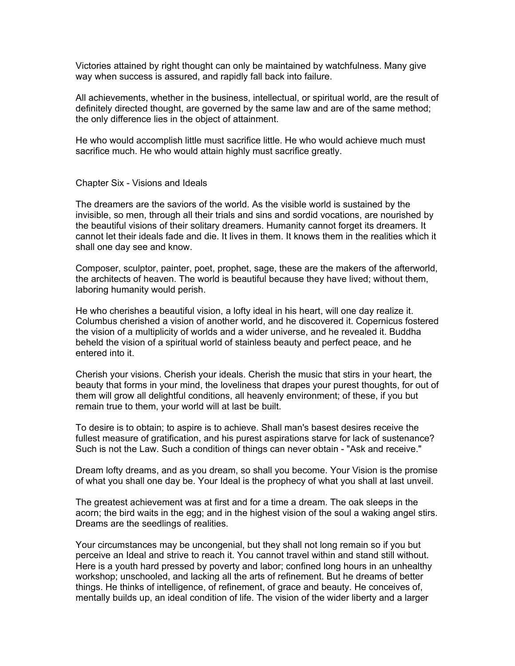Victories attained by right thought can only be maintained by watchfulness. Many give way when success is assured, and rapidly fall back into failure.

All achievements, whether in the business, intellectual, or spiritual world, are the result of definitely directed thought, are governed by the same law and are of the same method; the only difference lies in the object of attainment.

He who would accomplish little must sacrifice little. He who would achieve much must sacrifice much. He who would attain highly must sacrifice greatly.

Chapter Six - Visions and Ideals

The dreamers are the saviors of the world. As the visible world is sustained by the invisible, so men, through all their trials and sins and sordid vocations, are nourished by the beautiful visions of their solitary dreamers. Humanity cannot forget its dreamers. It cannot let their ideals fade and die. It lives in them. It knows them in the realities which it shall one day see and know.

Composer, sculptor, painter, poet, prophet, sage, these are the makers of the afterworld, the architects of heaven. The world is beautiful because they have lived; without them, laboring humanity would perish.

He who cherishes a beautiful vision, a lofty ideal in his heart, will one day realize it. Columbus cherished a vision of another world, and he discovered it. Copernicus fostered the vision of a multiplicity of worlds and a wider universe, and he revealed it. Buddha beheld the vision of a spiritual world of stainless beauty and perfect peace, and he entered into it.

Cherish your visions. Cherish your ideals. Cherish the music that stirs in your heart, the beauty that forms in your mind, the loveliness that drapes your purest thoughts, for out of them will grow all delightful conditions, all heavenly environment; of these, if you but remain true to them, your world will at last be built.

To desire is to obtain; to aspire is to achieve. Shall man's basest desires receive the fullest measure of gratification, and his purest aspirations starve for lack of sustenance? Such is not the Law. Such a condition of things can never obtain - "Ask and receive."

Dream lofty dreams, and as you dream, so shall you become. Your Vision is the promise of what you shall one day be. Your Ideal is the prophecy of what you shall at last unveil.

The greatest achievement was at first and for a time a dream. The oak sleeps in the acorn; the bird waits in the egg; and in the highest vision of the soul a waking angel stirs. Dreams are the seedlings of realities.

Your circumstances may be uncongenial, but they shall not long remain so if you but perceive an Ideal and strive to reach it. You cannot travel within and stand still without. Here is a youth hard pressed by poverty and labor; confined long hours in an unhealthy workshop; unschooled, and lacking all the arts of refinement. But he dreams of better things. He thinks of intelligence, of refinement, of grace and beauty. He conceives of, mentally builds up, an ideal condition of life. The vision of the wider liberty and a larger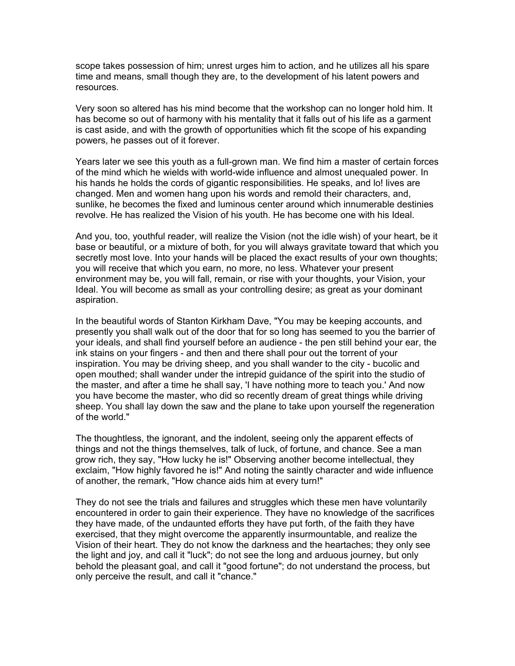scope takes possession of him; unrest urges him to action, and he utilizes all his spare time and means, small though they are, to the development of his latent powers and resources.

Very soon so altered has his mind become that the workshop can no longer hold him. It has become so out of harmony with his mentality that it falls out of his life as a garment is cast aside, and with the growth of opportunities which fit the scope of his expanding powers, he passes out of it forever.

Years later we see this youth as a full-grown man. We find him a master of certain forces of the mind which he wields with world-wide influence and almost unequaled power. In his hands he holds the cords of gigantic responsibilities. He speaks, and lo! lives are changed. Men and women hang upon his words and remold their characters, and, sunlike, he becomes the fixed and luminous center around which innumerable destinies revolve. He has realized the Vision of his youth. He has become one with his Ideal.

And you, too, youthful reader, will realize the Vision (not the idle wish) of your heart, be it base or beautiful, or a mixture of both, for you will always gravitate toward that which you secretly most love. Into your hands will be placed the exact results of your own thoughts; you will receive that which you earn, no more, no less. Whatever your present environment may be, you will fall, remain, or rise with your thoughts, your Vision, your Ideal. You will become as small as your controlling desire; as great as your dominant aspiration.

In the beautiful words of Stanton Kirkham Dave, "You may be keeping accounts, and presently you shall walk out of the door that for so long has seemed to you the barrier of your ideals, and shall find yourself before an audience - the pen still behind your ear, the ink stains on your fingers - and then and there shall pour out the torrent of your inspiration. You may be driving sheep, and you shall wander to the city - bucolic and open mouthed; shall wander under the intrepid guidance of the spirit into the studio of the master, and after a time he shall say, 'I have nothing more to teach you.' And now you have become the master, who did so recently dream of great things while driving sheep. You shall lay down the saw and the plane to take upon yourself the regeneration of the world."

The thoughtless, the ignorant, and the indolent, seeing only the apparent effects of things and not the things themselves, talk of luck, of fortune, and chance. See a man grow rich, they say, "How lucky he is!" Observing another become intellectual, they exclaim, "How highly favored he is!" And noting the saintly character and wide influence of another, the remark, "How chance aids him at every turn!"

They do not see the trials and failures and struggles which these men have voluntarily encountered in order to gain their experience. They have no knowledge of the sacrifices they have made, of the undaunted efforts they have put forth, of the faith they have exercised, that they might overcome the apparently insurmountable, and realize the Vision of their heart. They do not know the darkness and the heartaches; they only see the light and joy, and call it "luck"; do not see the long and arduous journey, but only behold the pleasant goal, and call it "good fortune"; do not understand the process, but only perceive the result, and call it "chance."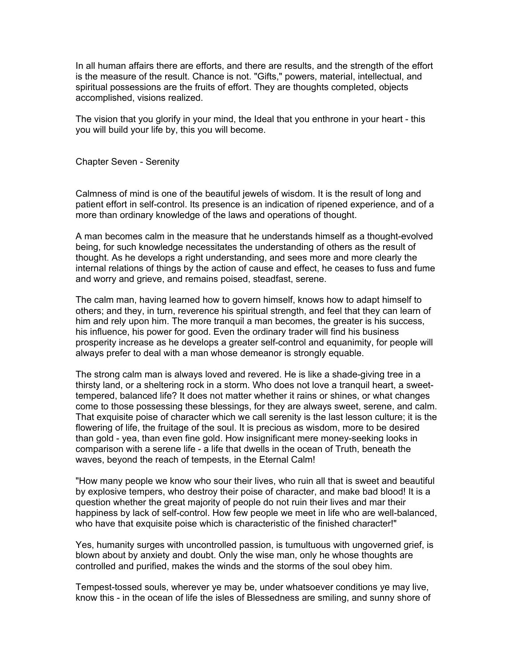In all human affairs there are efforts, and there are results, and the strength of the effort is the measure of the result. Chance is not. "Gifts," powers, material, intellectual, and spiritual possessions are the fruits of effort. They are thoughts completed, objects accomplished, visions realized.

The vision that you glorify in your mind, the Ideal that you enthrone in your heart - this you will build your life by, this you will become.

Chapter Seven - Serenity

Calmness of mind is one of the beautiful jewels of wisdom. It is the result of long and patient effort in self-control. Its presence is an indication of ripened experience, and of a more than ordinary knowledge of the laws and operations of thought.

A man becomes calm in the measure that he understands himself as a thought-evolved being, for such knowledge necessitates the understanding of others as the result of thought. As he develops a right understanding, and sees more and more clearly the internal relations of things by the action of cause and effect, he ceases to fuss and fume and worry and grieve, and remains poised, steadfast, serene.

The calm man, having learned how to govern himself, knows how to adapt himself to others; and they, in turn, reverence his spiritual strength, and feel that they can learn of him and rely upon him. The more tranquil a man becomes, the greater is his success, his influence, his power for good. Even the ordinary trader will find his business prosperity increase as he develops a greater self-control and equanimity, for people will always prefer to deal with a man whose demeanor is strongly equable.

The strong calm man is always loved and revered. He is like a shade-giving tree in a thirsty land, or a sheltering rock in a storm. Who does not love a tranquil heart, a sweettempered, balanced life? It does not matter whether it rains or shines, or what changes come to those possessing these blessings, for they are always sweet, serene, and calm. That exquisite poise of character which we call serenity is the last lesson culture; it is the flowering of life, the fruitage of the soul. It is precious as wisdom, more to be desired than gold - yea, than even fine gold. How insignificant mere money-seeking looks in comparison with a serene life - a life that dwells in the ocean of Truth, beneath the waves, beyond the reach of tempests, in the Eternal Calm!

"How many people we know who sour their lives, who ruin all that is sweet and beautiful by explosive tempers, who destroy their poise of character, and make bad blood! It is a question whether the great majority of people do not ruin their lives and mar their happiness by lack of self-control. How few people we meet in life who are well-balanced, who have that exquisite poise which is characteristic of the finished character!"

Yes, humanity surges with uncontrolled passion, is tumultuous with ungoverned grief, is blown about by anxiety and doubt. Only the wise man, only he whose thoughts are controlled and purified, makes the winds and the storms of the soul obey him.

Tempest-tossed souls, wherever ye may be, under whatsoever conditions ye may live, know this - in the ocean of life the isles of Blessedness are smiling, and sunny shore of